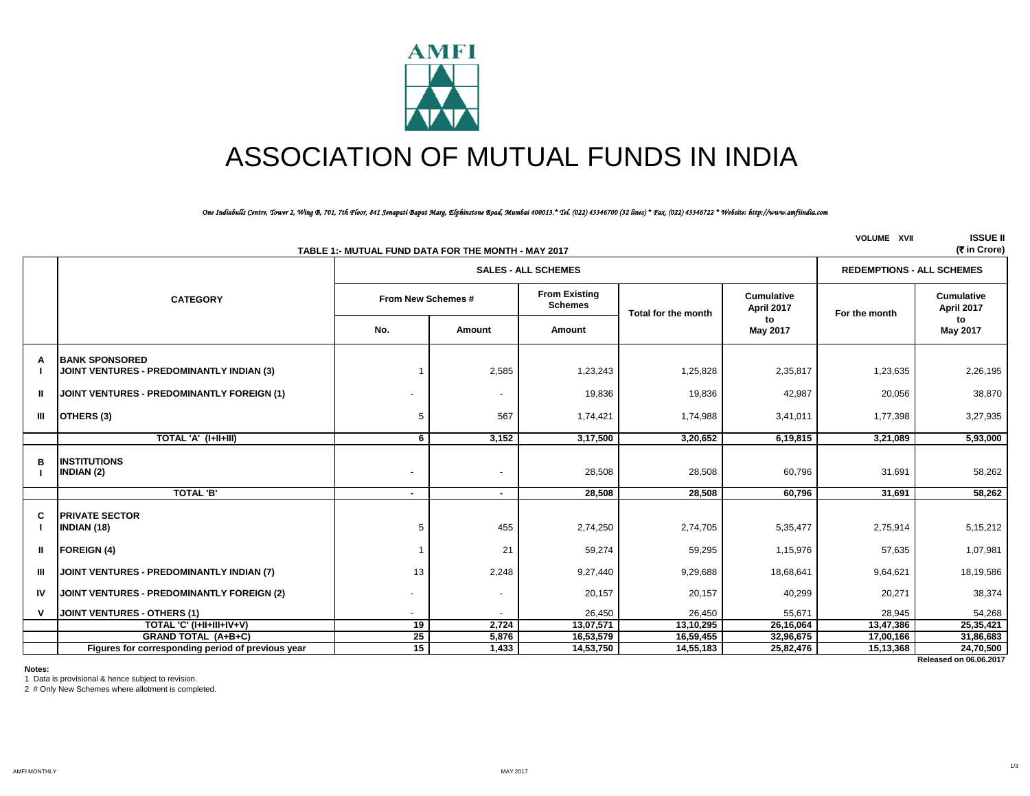

# ASSOCIATION OF MUTUAL FUNDS IN INDIA

#### *One Indiabulls Centre, Tower 2, Wing B, 701, 7th Floor, 841 Senapati Bapat Marg, Elphinstone Road, Mumbai 400013.\* Tel. (022) 43346700 (32 lines) \* Fax. (022) 43346722 \* Website: http://www.amfiindia.com*

|    | TABLE 1:- MUTUAL FUND DATA FOR THE MONTH - MAY 2017                       | <b>VOLUME XVII</b> | <b>ISSUE II</b><br>(₹ in Crore) |                                        |                     |                                 |               |                                 |
|----|---------------------------------------------------------------------------|--------------------|---------------------------------|----------------------------------------|---------------------|---------------------------------|---------------|---------------------------------|
|    |                                                                           |                    | <b>SALES - ALL SCHEMES</b>      | <b>REDEMPTIONS - ALL SCHEMES</b>       |                     |                                 |               |                                 |
|    | <b>CATEGORY</b>                                                           | From New Schemes # |                                 | <b>From Existing</b><br><b>Schemes</b> | Total for the month | <b>Cumulative</b><br>April 2017 | For the month | <b>Cumulative</b><br>April 2017 |
|    |                                                                           | No.                | Amount                          | Amount                                 |                     | to<br>May 2017                  |               | to<br>May 2017                  |
| A  | <b>BANK SPONSORED</b><br><b>JOINT VENTURES - PREDOMINANTLY INDIAN (3)</b> |                    | 2,585                           | 1,23,243                               | 1,25,828            | 2,35,817                        | 1,23,635      | 2,26,195                        |
| Ш  | <b>JOINT VENTURES - PREDOMINANTLY FOREIGN (1)</b>                         |                    | $\overline{\phantom{a}}$        | 19,836                                 | 19,836              | 42,987                          | 20,056        | 38,870                          |
| Ш  | OTHERS (3)                                                                | 5                  | 567                             | 1,74,421                               | 1,74,988            | 3,41,011                        | 1,77,398      | 3,27,935                        |
|    | TOTAL 'A' (I+II+III)                                                      | 6                  | 3,152                           | 3,17,500                               | 3.20.652            | 6,19,815                        | 3,21,089      | 5,93,000                        |
| в  | <b>INSTITUTIONS</b><br>INDIAN (2)                                         |                    | $\overline{\phantom{a}}$        | 28,508                                 | 28,508              | 60,796                          | 31,691        | 58,262                          |
|    | <b>TOTAL 'B'</b>                                                          | $\sim$             | $\sim$                          | 28,508                                 | 28,508              | 60,796                          | 31,691        | 58,262                          |
| C  | <b>PRIVATE SECTOR</b><br>INDIAN (18)                                      | 5                  | 455                             | 2,74,250                               | 2,74,705            | 5,35,477                        | 2,75,914      | 5,15,212                        |
| Ш  | <b>FOREIGN (4)</b>                                                        |                    | 21                              | 59,274                                 | 59,295              | 1,15,976                        | 57,635        | 1,07,981                        |
| Ш  | JOINT VENTURES - PREDOMINANTLY INDIAN (7)                                 | 13                 | 2,248                           | 9,27,440                               | 9,29,688            | 18,68,641                       | 9,64,621      | 18,19,586                       |
| IV | JOINT VENTURES - PREDOMINANTLY FOREIGN (2)                                |                    | $\blacksquare$                  | 20,157                                 | 20,157              | 40,299                          | 20,271        | 38,374                          |
|    | <b>JOINT VENTURES - OTHERS (1)</b>                                        |                    |                                 | 26,450                                 | 26,450              | 55,671                          | 28,945        | 54,268                          |
|    | TOTAL 'C' (I+II+III+IV+V)                                                 | $\overline{19}$    | 2,724                           | 13,07,571                              | 13,10,295           | 26,16,064                       | 13,47,386     | 25,35,421                       |
|    | <b>GRAND TOTAL (A+B+C)</b>                                                | 25                 | 5,876                           | 16,53,579                              | 16,59,455           | 32,96,675                       | 17,00,166     | 31,86,683                       |
|    | Figures for corresponding period of previous year                         | 15                 | 1,433                           | 14,53,750                              | 14,55,183           | 25,82,476                       | 15,13,368     | 24,70,500                       |

 **Released on 06.06.2017**

**Notes:**

1 Data is provisional & hence subject to revision.

2 # Only New Schemes where allotment is completed.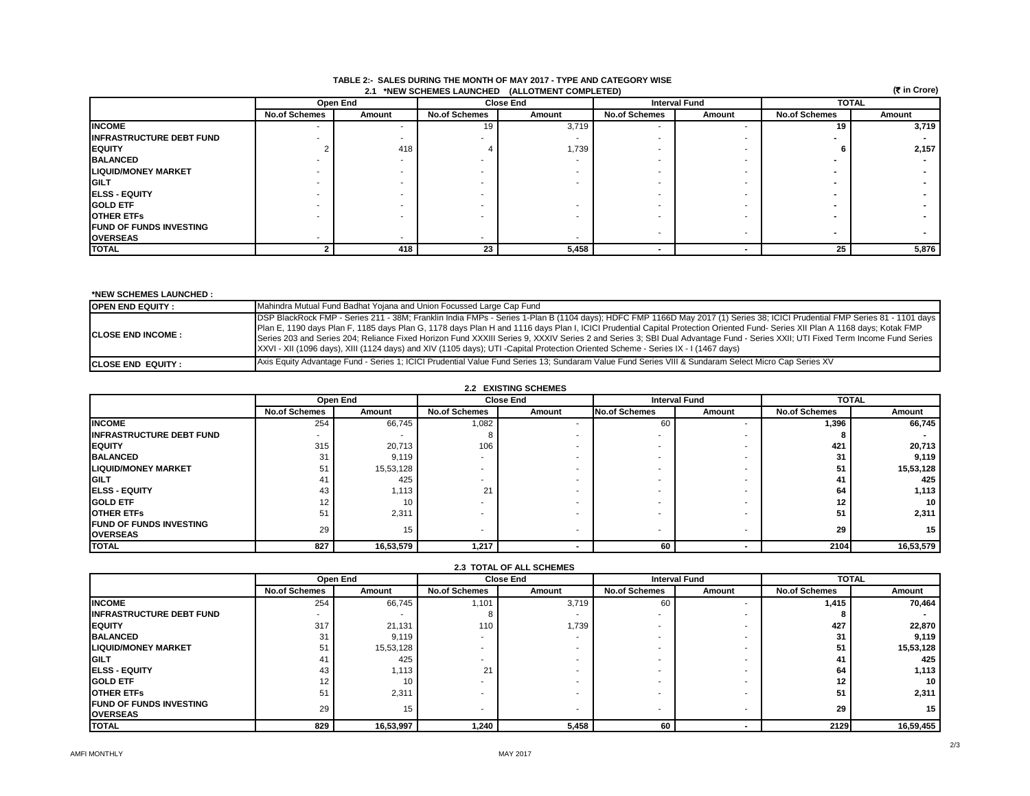| (₹ in Crore)<br>2.1 *NEW SCHEMES LAUNCHED (ALLOTMENT COMPLETED) |                          |          |                      |        |                      |        |                          |        |
|-----------------------------------------------------------------|--------------------------|----------|----------------------|--------|----------------------|--------|--------------------------|--------|
|                                                                 |                          | Open End | <b>Close End</b>     |        | <b>Interval Fund</b> |        | <b>TOTAL</b>             |        |
|                                                                 | <b>No.of Schemes</b>     | Amount   | <b>No.of Schemes</b> | Amount | <b>No.of Schemes</b> | Amount | <b>No.of Schemes</b>     | Amount |
| <b>INCOME</b>                                                   | $\overline{\phantom{a}}$ | ۰        | 19                   | 3,719  |                      |        | 19                       | 3,719  |
| <b>IINFRASTRUCTURE DEBT FUND</b>                                |                          |          |                      |        |                      |        |                          |        |
| <b>IEQUITY</b>                                                  |                          | 418      |                      | 1,739  |                      |        |                          | 2,157  |
| <b>BALANCED</b>                                                 |                          |          |                      |        |                      |        |                          |        |
| <b>LIQUID/MONEY MARKET</b>                                      |                          |          |                      |        |                      |        |                          |        |
| <b>IGILT</b>                                                    |                          |          |                      |        |                      |        |                          |        |
| <b>IELSS - EQUITY</b>                                           |                          |          |                      |        |                      |        |                          |        |
| <b>IGOLD ETF</b>                                                |                          |          |                      |        |                      |        |                          |        |
| <b>IOTHER ETFS</b>                                              |                          |          |                      |        |                      |        |                          |        |
| <b>FUND OF FUNDS INVESTING</b>                                  |                          |          |                      |        |                      |        | $\overline{\phantom{0}}$ |        |
| <b>OVERSEAS</b>                                                 |                          |          |                      |        |                      |        |                          |        |
| <b>TOTAL</b>                                                    |                          | 418      | 23                   | 5,458  | $\blacksquare$       |        | 25                       | 5,876  |

#### **2.1 \*NEW SCHEMES LAUNCHED (ALLOTMENT COMPLETED) TABLE 2:- SALES DURING THE MONTH OF MAY 2017 - TYPE AND CATEGORY WISE**

#### **\*NEW SCHEMES LAUNCHED :**

| <b>OPEN END EQUITY:</b>    | Mahindra Mutual Fund Badhat Yojana and Union Focussed Large Cap Fund                                                                                                                                                                                                                                                                                                                                                                                                                                                                                                                                                                                                            |
|----------------------------|---------------------------------------------------------------------------------------------------------------------------------------------------------------------------------------------------------------------------------------------------------------------------------------------------------------------------------------------------------------------------------------------------------------------------------------------------------------------------------------------------------------------------------------------------------------------------------------------------------------------------------------------------------------------------------|
| <b>ICLOSE END INCOME :</b> | DSP BlackRock FMP - Series 211 - 38M; Franklin India FMPs - Series 1-Plan B (1104 days); HDFC FMP 1166D May 2017 (1) Series 38; ICICI Prudential FMP Series 81 - 1101 days<br>Plan E, 1190 days Plan F, 1185 days Plan G, 1178 days Plan H and 1116 days Plan I, ICICI Prudential Capital Protection Oriented Fund-Series XII Plan A 1168 days; Kotak FMP<br>Series 203 and Series 204; Reliance Fixed Horizon Fund XXXIII Series 9, XXXIV Series 2 and Series 3; SBI Dual Advantage Fund - Series XXII; UTI Fixed Term Income Fund Series<br>XXVI - XII (1096 days), XIII (1124 days) and XIV (1105 days); UTI -Capital Protection Oriented Scheme - Series IX - I (1467 days) |
| <b>ICLOSE END EQUITY:</b>  | Axis Equity Advantage Fund - Series 1; ICICI Prudential Value Fund Series 13; Sundaram Value Fund Series VIII & Sundaram Select Micro Cap Series XV                                                                                                                                                                                                                                                                                                                                                                                                                                                                                                                             |

### **2.2 EXISTING SCHEMES**

|                                                   | Open End                 |                 |                          | <b>Close End</b> | <b>Interval Fund</b> |        | <b>TOTAL</b>         |           |
|---------------------------------------------------|--------------------------|-----------------|--------------------------|------------------|----------------------|--------|----------------------|-----------|
|                                                   | <b>No.of Schemes</b>     | Amount          | <b>No.of Schemes</b>     | Amount           | <b>No.of Schemes</b> | Amount | <b>No.of Schemes</b> | Amount    |
| <b>INCOME</b>                                     | 254                      | 66,745          | 1,082                    |                  | 60                   |        | 1,396                | 66,745    |
| <b>IINFRASTRUCTURE DEBT FUND</b>                  | $\overline{\phantom{a}}$ |                 |                          |                  |                      |        |                      |           |
| <b>EQUITY</b>                                     | 315                      | 20,713          | 106                      |                  |                      |        | 421                  | 20,713    |
| <b>BALANCED</b>                                   | 31                       | 9,119           | $\overline{\phantom{a}}$ |                  |                      |        | 31                   | 9,119     |
| <b>LIQUID/MONEY MARKET</b>                        | 51                       | 15,53,128       |                          |                  |                      |        | 51                   | 15,53,128 |
| <b>IGILT</b>                                      | 41                       | 425             |                          |                  |                      |        | -41                  | 425       |
| <b>IELSS - EQUITY</b>                             | 43                       | 1,113           | 21                       |                  |                      |        | 64                   | 1,113     |
| <b>IGOLD ETF</b>                                  | 12                       |                 |                          |                  |                      |        | 12                   | 10        |
| <b>OTHER ETFS</b>                                 | 51                       | 2,311           |                          |                  |                      |        | 51                   | 2,311     |
| <b>FUND OF FUNDS INVESTING</b><br><b>OVERSEAS</b> | 29                       | 15 <sub>1</sub> |                          |                  |                      | $\sim$ | 29                   | 15        |
| <b>TOTAL</b>                                      | 827                      | 16,53,579       | 1,217                    |                  | 60                   |        | 2104                 | 16,53,579 |

| <b>A.J. IVIAL UI ALL JUILINLJ</b> |                      |                 |                      |                  |                      |                      |                      |           |  |
|-----------------------------------|----------------------|-----------------|----------------------|------------------|----------------------|----------------------|----------------------|-----------|--|
|                                   |                      | Open End        |                      | <b>Close End</b> |                      | <b>Interval Fund</b> | <b>TOTAL</b>         |           |  |
|                                   | <b>No.of Schemes</b> | Amount          | <b>No.of Schemes</b> | Amount           | <b>No.of Schemes</b> | Amount               | <b>No.of Schemes</b> | Amount    |  |
| <b>INCOME</b>                     | 254                  | 66,745          | 1,101                | 3,719            | 60                   |                      | 1,415                | 70,464    |  |
| <b>INFRASTRUCTURE DEBT FUND</b>   |                      |                 |                      |                  |                      |                      |                      |           |  |
| <b>EQUITY</b>                     | 317                  | 21,131          | 110                  | 1,739            |                      |                      | 427                  | 22,870    |  |
| <b>BALANCED</b>                   | 31                   | 9.119           |                      |                  |                      |                      | 31                   | 9,119     |  |
| <b>ILIQUID/MONEY MARKET</b>       | 51                   | 15,53,128       |                      |                  |                      |                      | 51                   | 15,53,128 |  |
| <b>GILT</b>                       | 41                   | 425             |                      |                  |                      |                      | 41                   | 425       |  |
| <b>IELSS - EQUITY</b>             | 43                   | 1,113           | 21                   |                  |                      |                      | 64                   | 1,113     |  |
| <b>IGOLD ETF</b>                  | 12                   | 10 <sub>1</sub> |                      |                  |                      |                      | 12                   | 10        |  |
| <b>OTHER ETFS</b>                 | 51                   | 2.311           |                      |                  |                      |                      | 51                   | 2,311     |  |
| <b>IFUND OF FUNDS INVESTING</b>   | 29                   | 15              |                      |                  |                      |                      | 29                   | 15        |  |
| <b>OVERSEAS</b>                   |                      |                 |                      |                  |                      |                      |                      |           |  |
| <b>TOTAL</b>                      | 829                  | 16,53,997       | 1,240                | 5,458            | 60                   |                      | 2129                 | 16,59,455 |  |

# **2.3 TOTAL OF ALL SCHEMES**